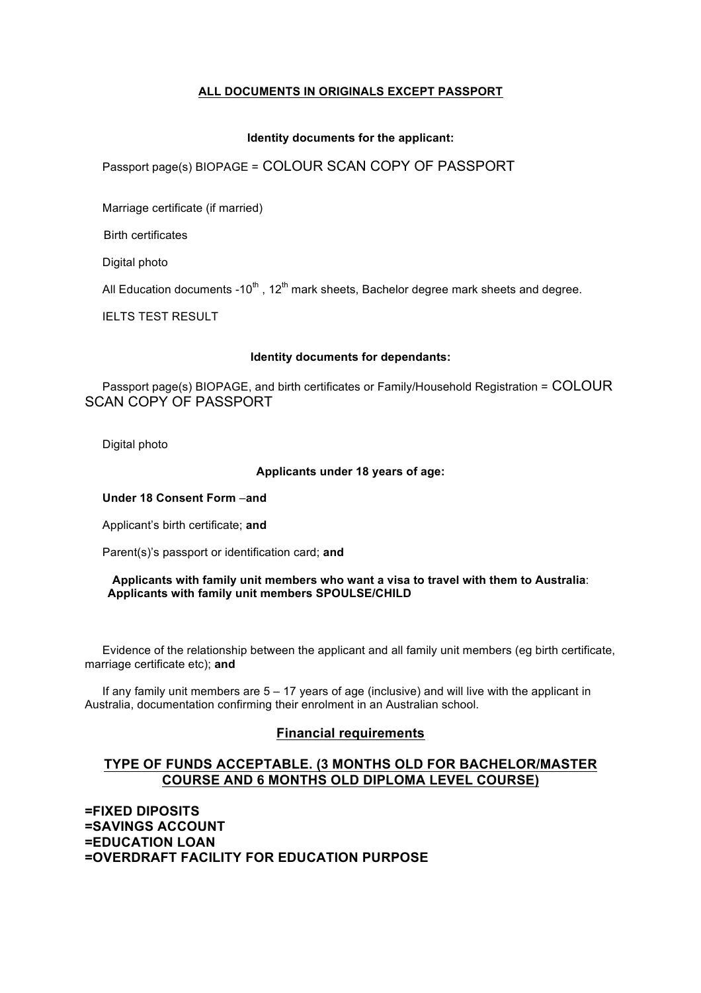# **ALL DOCUMENTS IN ORIGINALS EXCEPT PASSPORT**

### **Identity documents for the applicant:**

# Passport page(s) BIOPAGE = COLOUR SCAN COPY OF PASSPORT

Marriage certificate (if married)

Birth certificates

Digital photo

All Education documents -10<sup>th</sup>, 12<sup>th</sup> mark sheets, Bachelor degree mark sheets and degree.

IELTS TEST RESULT

#### **Identity documents for dependants:**

 Passport page(s) BIOPAGE, and birth certificates or Family/Household Registration = COLOUR SCAN COPY OF PASSPORT

Digital photo

## **Applicants under 18 years of age:**

**Under 18 Consent Form** –**and** 

Applicant's birth certificate; **and** 

Parent(s)'s passport or identification card; **and** 

#### **Applicants with family unit members who want a visa to travel with them to Australia**:  **Applicants with family unit members SPOULSE/CHILD**

 Evidence of the relationship between the applicant and all family unit members (eg birth certificate, marriage certificate etc); **and** 

 If any family unit members are 5 – 17 years of age (inclusive) and will live with the applicant in Australia, documentation confirming their enrolment in an Australian school.

## **Financial requirements**

## **TYPE OF FUNDS ACCEPTABLE. (3 MONTHS OLD FOR BACHELOR/MASTER COURSE AND 6 MONTHS OLD DIPLOMA LEVEL COURSE)**

**=FIXED DIPOSITS =SAVINGS ACCOUNT =EDUCATION LOAN =OVERDRAFT FACILITY FOR EDUCATION PURPOSE**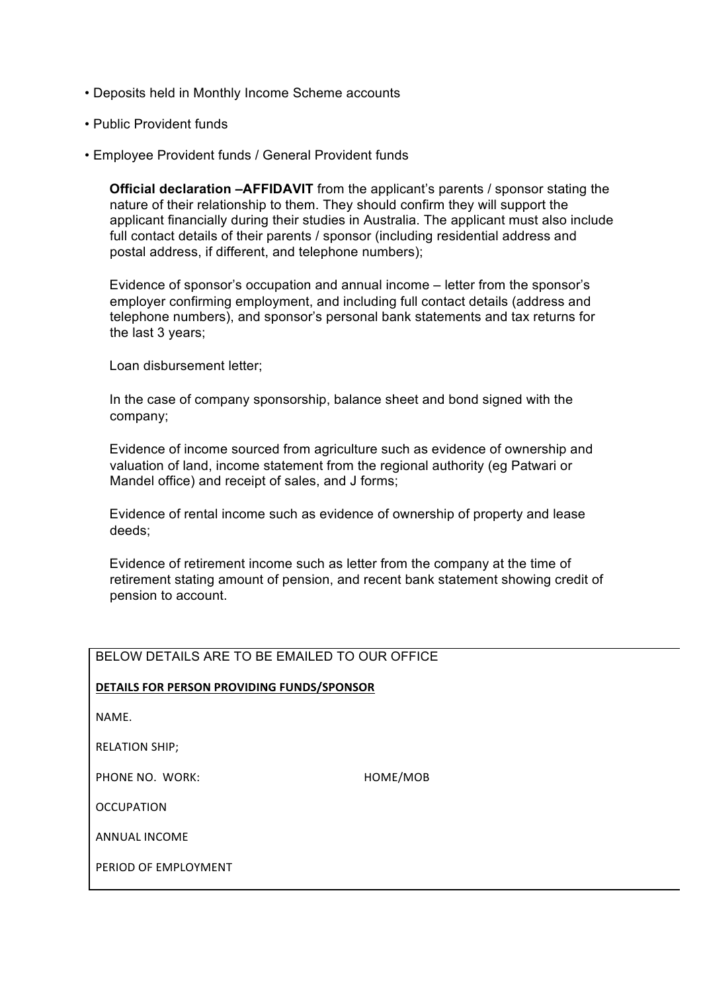- Deposits held in Monthly Income Scheme accounts
- Public Provident funds
- Employee Provident funds / General Provident funds

 **Official declaration –AFFIDAVIT** from the applicant's parents / sponsor stating the nature of their relationship to them. They should confirm they will support the applicant financially during their studies in Australia. The applicant must also include full contact details of their parents / sponsor (including residential address and postal address, if different, and telephone numbers);

 Evidence of sponsor's occupation and annual income – letter from the sponsor's employer confirming employment, and including full contact details (address and telephone numbers), and sponsor's personal bank statements and tax returns for the last 3 years;

Loan disbursement letter;

 In the case of company sponsorship, balance sheet and bond signed with the company;

 Evidence of income sourced from agriculture such as evidence of ownership and valuation of land, income statement from the regional authority (eg Patwari or Mandel office) and receipt of sales, and J forms;

 Evidence of rental income such as evidence of ownership of property and lease deeds;

 Evidence of retirement income such as letter from the company at the time of retirement stating amount of pension, and recent bank statement showing credit of pension to account.

# BELOW DETAILS ARE TO BE EMAILED TO OUR OFFICE

## **DETAILS FOR PERSON PROVIDING FUNDS/SPONSOR**

NAME.

RELATION SHIP;

PHONE NO. WORK: Superior that the matter of the HOME/MOB

**OCCUPATION** 

**ANNUAL INCOME** 

PERIOD OF FMPLOYMENT